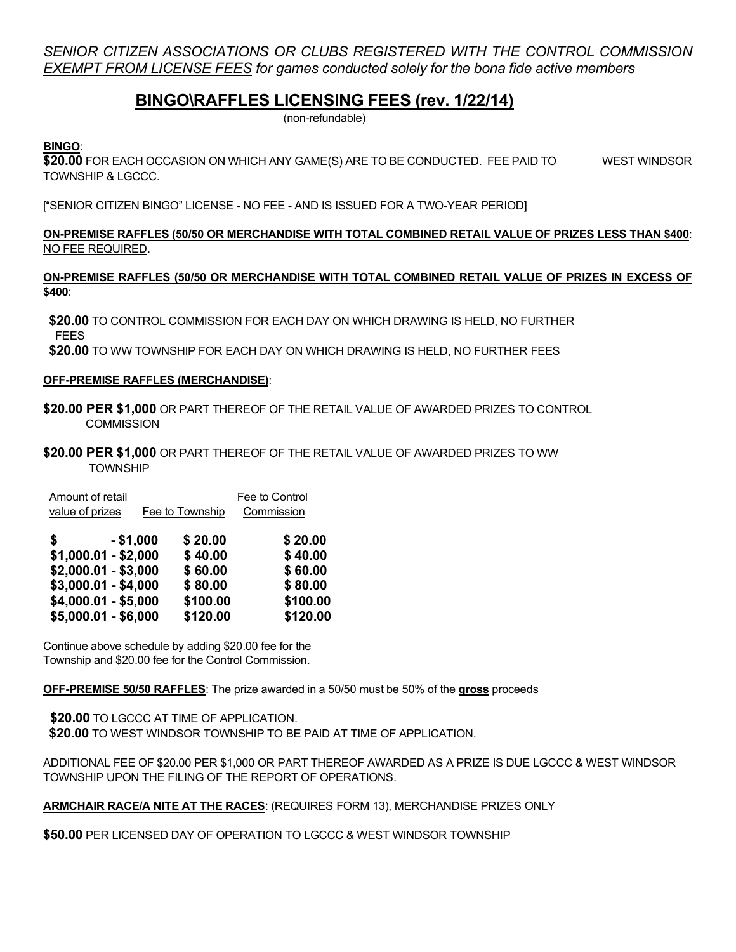*SENIOR CITIZEN ASSOCIATIONS OR CLUBS REGISTERED WITH THE CONTROL COMMISSION EXEMPT FROM LICENSE FEES for games conducted solely for the bona fide active members*

# **BINGO\RAFFLES LICENSING FEES (rev. 1/22/14)**

(non-refundable)

# **BINGO**:

**\$20.00** FOR EACH OCCASION ON WHICH ANY GAME(S) ARE TO BE CONDUCTED. FEE PAID TO WEST WINDSOR TOWNSHIP & LGCCC.

["SENIOR CITIZEN BINGO" LICENSE - NO FEE - AND IS ISSUED FOR A TWO-YEAR PERIOD]

## **ON-PREMISE RAFFLES (50/50 OR MERCHANDISE WITH TOTAL COMBINED RETAIL VALUE OF PRIZES LESS THAN \$400**: NO FEE REQUIRED.

## **ON-PREMISE RAFFLES (50/50 OR MERCHANDISE WITH TOTAL COMBINED RETAIL VALUE OF PRIZES IN EXCESS OF \$400**:

 **\$20.00** TO CONTROL COMMISSION FOR EACH DAY ON WHICH DRAWING IS HELD, NO FURTHER FEES

**\$20.00** TO WW TOWNSHIP FOR EACH DAY ON WHICH DRAWING IS HELD, NO FURTHER FEES

## **OFF-PREMISE RAFFLES (MERCHANDISE)**:

- **\$20.00 PER \$1,000** OR PART THEREOF OF THE RETAIL VALUE OF AWARDED PRIZES TO CONTROL **COMMISSION**
- **\$20.00 PER \$1,000** OR PART THEREOF OF THE RETAIL VALUE OF AWARDED PRIZES TO WW **TOWNSHIP**

| <b>Amount of retail</b><br>value of prizes | Fee to Township    | Fee to Control<br>Commission |  |
|--------------------------------------------|--------------------|------------------------------|--|
| \$<br>$- $1,000$<br>$$1,000.01 - $2,000$   | \$20.00<br>\$40.00 | \$20.00<br>\$40.00           |  |
| $$2,000.01 - $3,000$                       | \$60.00            | \$60.00                      |  |
| \$3,000.01 - \$4,000                       | \$80.00            | \$80.00                      |  |
| \$4,000.01 - \$5,000                       | \$100.00           | \$100.00                     |  |
| \$5,000.01 - \$6,000                       | \$120.00           | \$120.00                     |  |

Continue above schedule by adding \$20.00 fee for the Township and \$20.00 fee for the Control Commission.

**OFF-PREMISE 50/50 RAFFLES**: The prize awarded in a 50/50 must be 50% of the **gross** proceeds

 **\$20.00** TO LGCCC AT TIME OF APPLICATION. **\$20.00** TO WEST WINDSOR TOWNSHIP TO BE PAID AT TIME OF APPLICATION.

ADDITIONAL FEE OF \$20.00 PER \$1,000 OR PART THEREOF AWARDED AS A PRIZE IS DUE LGCCC & WEST WINDSOR TOWNSHIP UPON THE FILING OF THE REPORT OF OPERATIONS.

**ARMCHAIR RACE/A NITE AT THE RACES**: (REQUIRES FORM 13), MERCHANDISE PRIZES ONLY

**\$50.00** PER LICENSED DAY OF OPERATION TO LGCCC & WEST WINDSOR TOWNSHIP